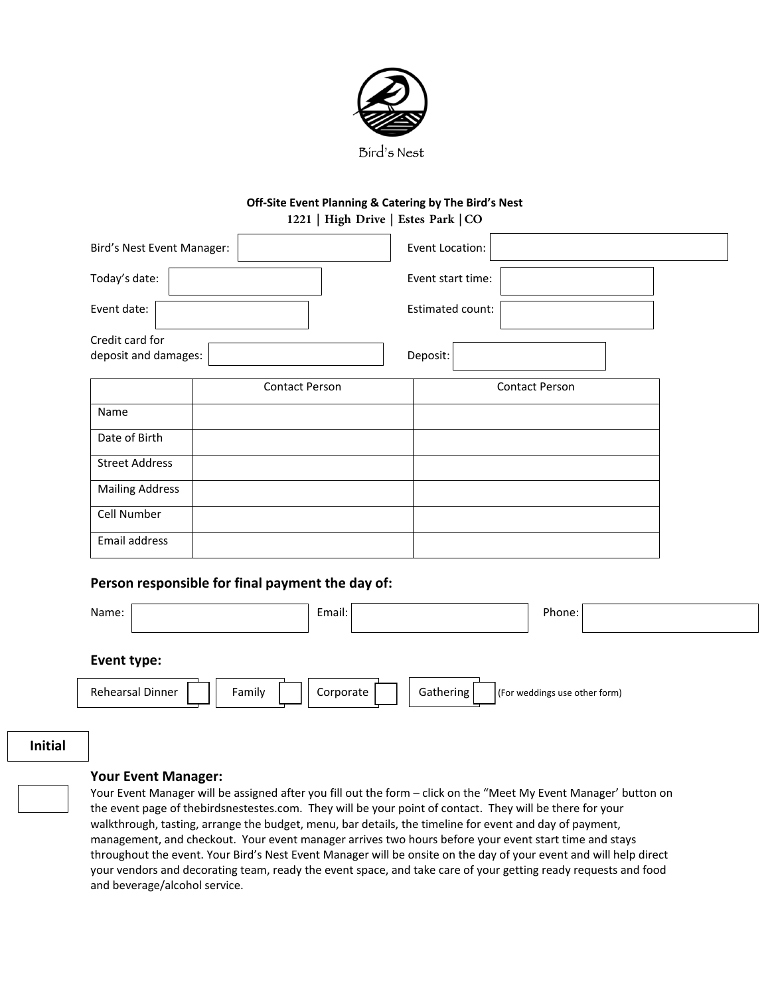

### **Off-Site Event Planning & Catering by The Bird's Nest 1221 | High Drive | Estes Park | CO**

| Bird's Nest Event Manager:              |                       | Event Location:   |  |
|-----------------------------------------|-----------------------|-------------------|--|
| Today's date:                           |                       | Event start time: |  |
| Event date:                             |                       | Estimated count:  |  |
| Credit card for<br>deposit and damages: |                       | Deposit:          |  |
|                                         | <b>Contact Person</b> | Contact Person    |  |
| Name                                    |                       |                   |  |
| Date of Birth                           |                       |                   |  |
| <b>Street Address</b>                   |                       |                   |  |
| <b>Mailing Address</b>                  |                       |                   |  |
| Cell Number                             |                       |                   |  |
| Email address                           |                       |                   |  |

### **Person responsible for final payment the day of:**

| Name:                      | Email:                 | Phone:                        |
|----------------------------|------------------------|-------------------------------|
| Event type:                |                        |                               |
| Rehearsal Dinner<br>Family | Gathering<br>Corporate | (For weddings use other form) |
|                            |                        |                               |

**Initial**

### **Your Event Manager:**

Your Event Manager will be assigned after you fill out the form – click on the "Meet My Event Manager' button on the event page of thebirdsnestestes.com. They will be your point of contact. They will be there for your walkthrough, tasting, arrange the budget, menu, bar details, the timeline for event and day of payment, management, and checkout. Your event manager arrives two hours before your event start time and stays throughout the event. Your Bird's Nest Event Manager will be onsite on the day of your event and will help direct your vendors and decorating team, ready the event space, and take care of your getting ready requests and food and beverage/alcohol service.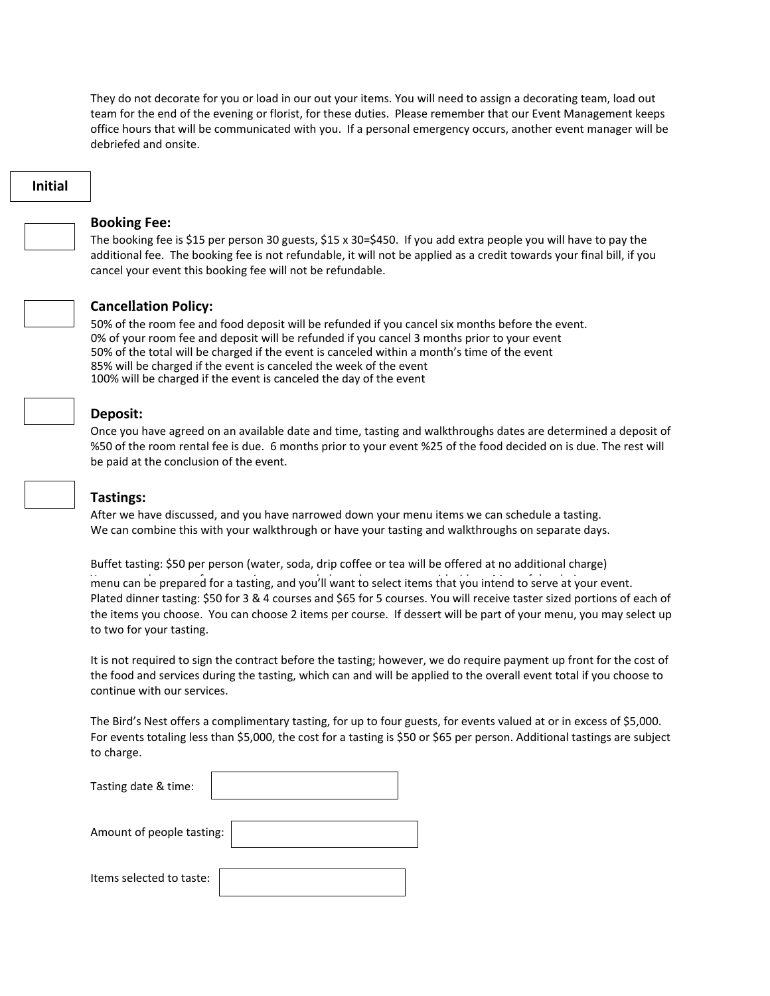They do not decorate for you or load in our out your items. You will need to assign a decorating team, load out team for the end of the evening or florist, for these duties. Please remember that our Event Management keeps office hours that will be communicated with you. If a personal emergency occurs, another event manager will be debriefed and onsite.

# **Initial**



### **Booking Fee:**

The booking fee is \$15 per person 30 guests, \$15 x 30=\$450. If you add extra people you will have to pay the additional fee. The booking fee is not refundable, it will not be applied as a credit towards your final bill, if you cancel your event this booking fee will not be refundable.



### **Cancellation Policy:**

50% of the room fee and food deposit will be refunded if you cancel six months before the event. 0% of your room fee and deposit will be refunded if you cancel 3 months prior to your event 50% of the total will be charged if the event is canceled within a month's time of the event 85% will be charged if the event is canceled the week of the event 100% will be charged if the event is canceled the day of the event

### **Deposit:**

Once you have agreed on an available date and time, tasting and walkthroughs dates are determined a deposit of %50 of the room rental fee is due. 6 months prior to your event %25 of the food decided on is due. The rest will be paid at the conclusion of the event.

### **Tastings:**

After we have discussed, and you have narrowed down your menu items we can schedule a tasting. We can combine this with your walkthrough or have your tasting and walkthroughs on separate days.

Buffet tasting: \$50 per person (water, soda, drip coffee or tea will be offered at no additional charge)

menu can be prepared for a tasting, and you'll want to select items that you intend to serve at your event. Plated dinner tasting: \$50 for 3 & 4 courses and \$65 for 5 courses. You will receive taster sized portions of each of the items you choose. You can choose 2 items per course. If dessert will be part of your menu, you may select up to two for your tasting.

It is not required to sign the contract before the tasting; however, we do require payment up front for the cost of the food and services during the tasting, which can and will be applied to the overall event total if you choose to continue with our services.

The Bird's Nest offers a complimentary tasting, for up to four guests, for events valued at or in excess of \$5,000. For events totaling less than \$5,000, the cost for a tasting is \$50 or \$65 per person. Additional tastings are subject to charge.

| Tasting date & time:      |  |
|---------------------------|--|
| Amount of people tasting: |  |

Items selected to taste: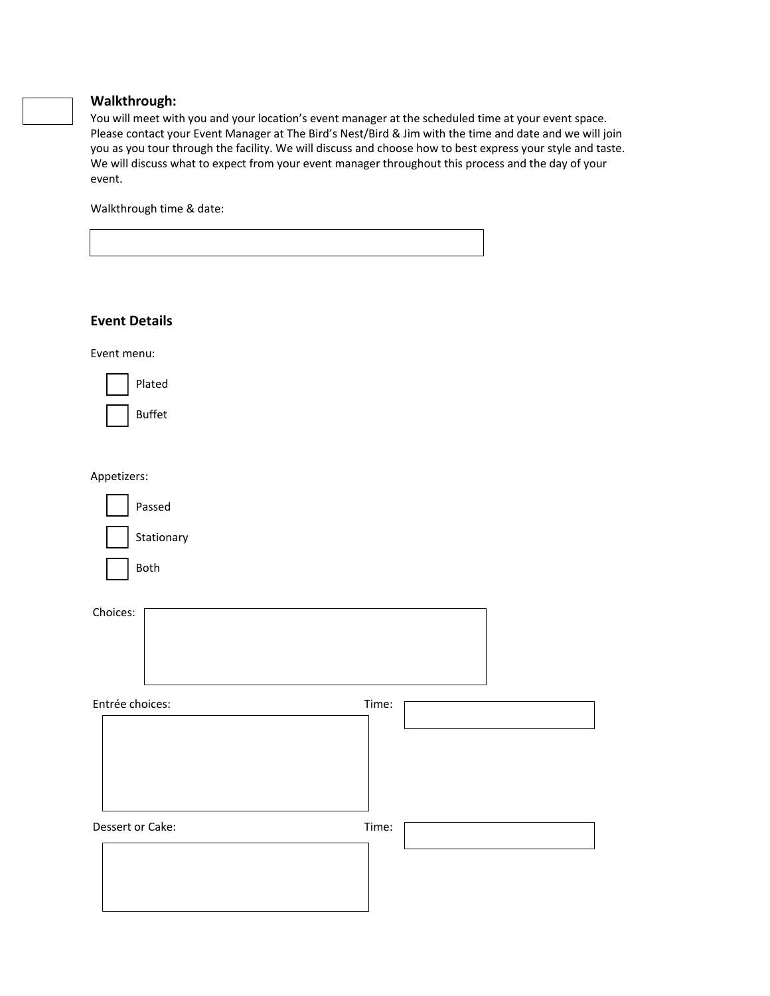# **Walkthrough:**

You will meet with you and your location's event manager at the scheduled time at your event space. Please contact your Event Manager at The Bird's Nest/Bird & Jim with the time and date and we will join you as you tour through the facility. We will discuss and choose how to best express your style and taste. We will discuss what to expect from your event manager throughout this process and the day of your event.

Walkthrough time & date:

| <b>Event Details</b> |       |
|----------------------|-------|
| Event menu:          |       |
| Plated               |       |
| <b>Buffet</b>        |       |
| Appetizers:          |       |
| Passed               |       |
| Stationary           |       |
| Both                 |       |
| Choices:             |       |
| Entrée choices:      | Time: |
| Dessert or Cake:     | Time: |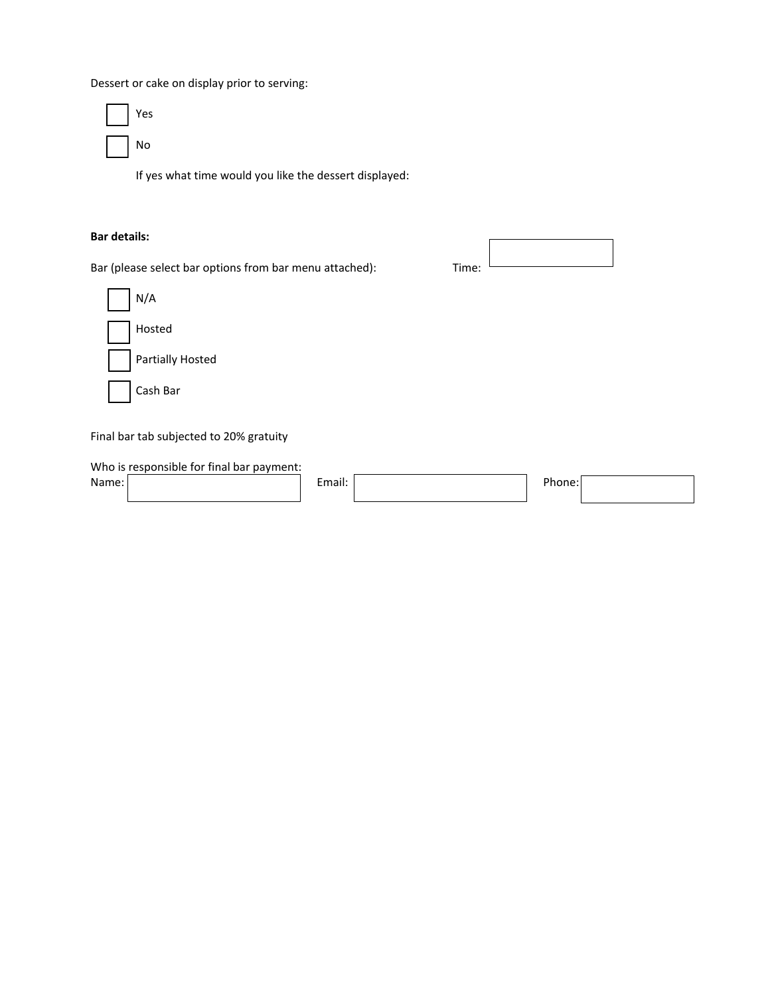Dessert or cake on display prior to serving:



If yes what time would you like the dessert displayed:

### **Bar details:**

Bar (please select bar options from bar menu attached): Time:



Final bar tab subjected to 20% gratuity

Who is responsible for final bar payment: Name: Email: Phone: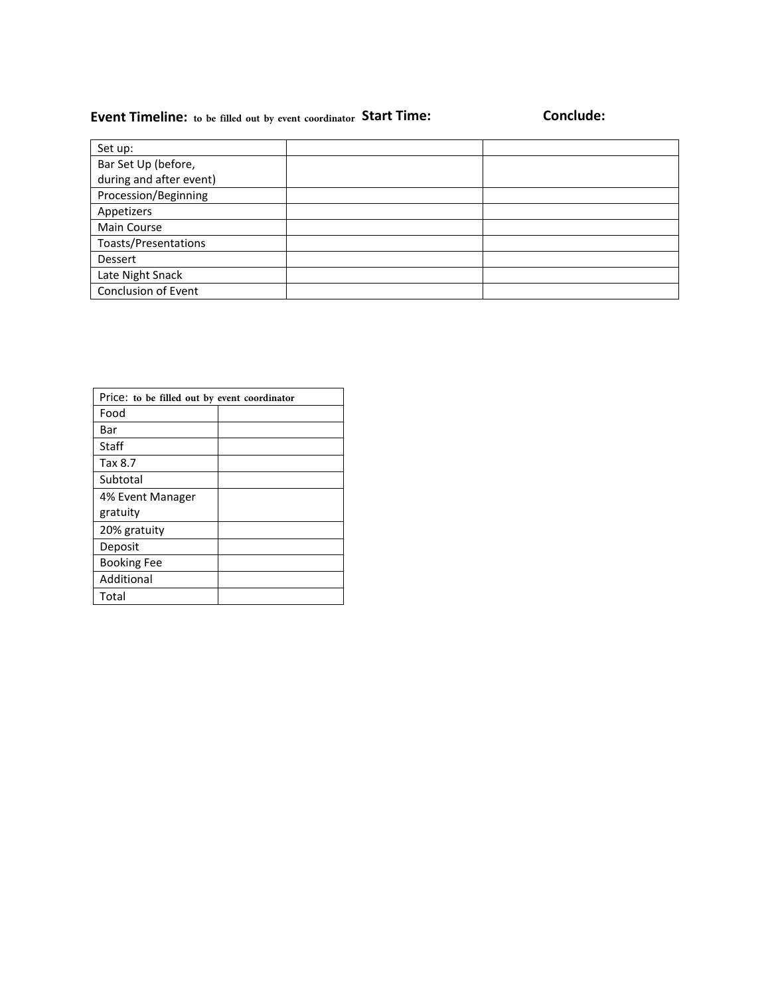# **Event Timeline: to be filled out by event coordinator Start Time: Conclude:**

| Set up:                 |  |
|-------------------------|--|
| Bar Set Up (before,     |  |
| during and after event) |  |
| Procession/Beginning    |  |
| Appetizers              |  |
| Main Course             |  |
| Toasts/Presentations    |  |
| Dessert                 |  |
| Late Night Snack        |  |
| Conclusion of Event     |  |
|                         |  |

| Price: to be filled out by event coordinator |  |  |
|----------------------------------------------|--|--|
| Food                                         |  |  |
| Bar                                          |  |  |
| Staff                                        |  |  |
| Tax 8.7                                      |  |  |
| Subtotal                                     |  |  |
| 4% Event Manager                             |  |  |
| gratuity                                     |  |  |
| 20% gratuity                                 |  |  |
| Deposit                                      |  |  |
| <b>Booking Fee</b>                           |  |  |
| Additional                                   |  |  |
| Total                                        |  |  |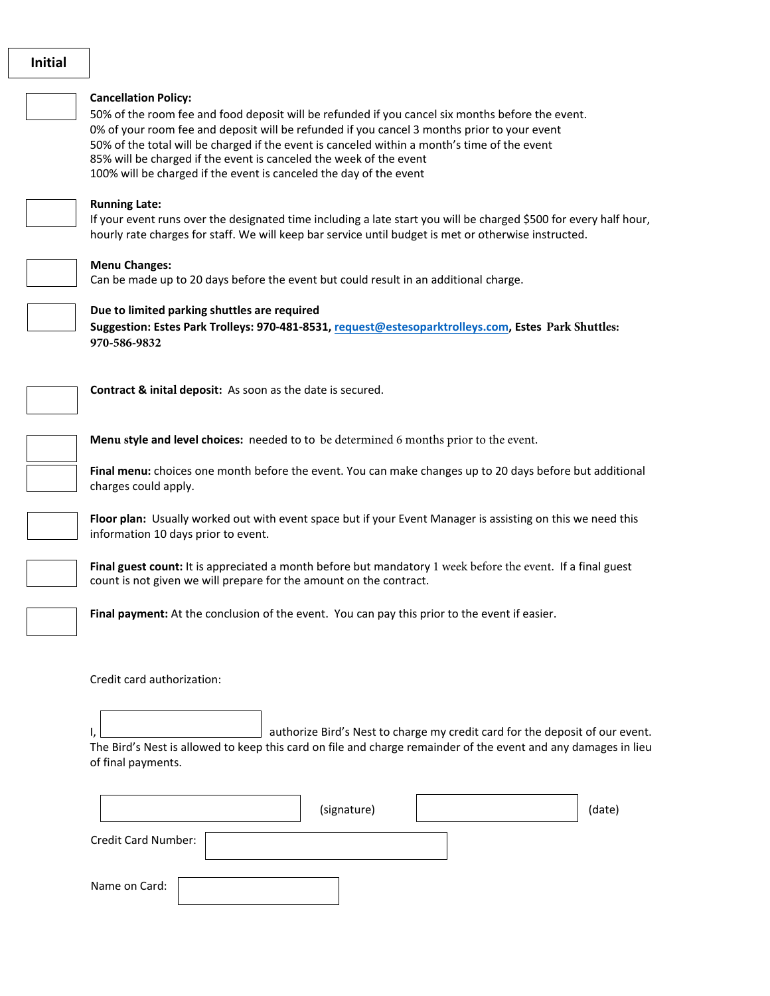**Initial**

#### **Cancellation Policy:**

50% of the room fee and food deposit will be refunded if you cancel six months before the event. 0% of your room fee and deposit will be refunded if you cancel 3 months prior to your event 50% of the total will be charged if the event is canceled within a month's time of the event 85% will be charged if the event is canceled the week of the event 100% will be charged if the event is canceled the day of the event



### **Running Late:**

If your event runs over the designated time including a late start you will be charged \$500 for every half hour, hourly rate charges for staff. We will keep bar service until budget is met or otherwise instructed.



### **Menu Changes:**

Can be made up to 20 days before the event but could result in an additional charge.

### **Due to limited parking shuttles are required**

**Suggestion: Estes Park Trolleys: 970-481-8531, [request@estesoparktrolleys.com,](mailto:request@estesoparktrolleys.com) Estes Park Shuttles: 970-586-9832**



**Contract & inital deposit:** As soon as the date is secured.



**Menu style and level choices:** needed to to be determined 6 months prior to the event.

**Final menu:** choices one month before the event. You can make changes up to 20 days before but additional charges could apply.



**Floor plan:** Usually worked out with event space but if your Event Manager is assisting on this we need this information 10 days prior to event.

**Final guest count:** It is appreciated a month before but mandatory 1 week before the event. If a final guest count is not given we will prepare for the amount on the contract.

**Final payment:** At the conclusion of the event. You can pay this prior to the event if easier.

Credit card authorization:

I,  $\Box$  authorize Bird's Nest to charge my credit card for the deposit of our event. The Bird's Nest is allowed to keep this card on file and charge remainder of the event and any damages in lieu of final payments.

|                     | (signature) | (date) |
|---------------------|-------------|--------|
| Credit Card Number: |             |        |
| Name on Card:       |             |        |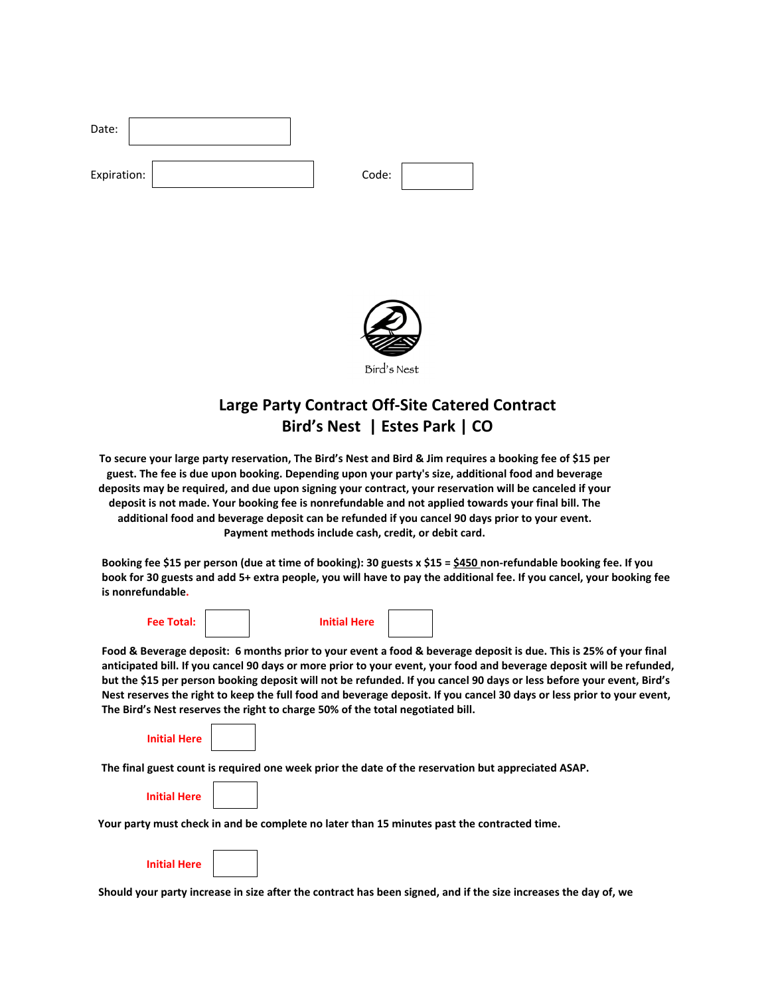| Date:       |  |       |  |
|-------------|--|-------|--|
| Expiration: |  | Code: |  |



# **Large Party Contract Off-Site Catered Contract Bird's Nest | Estes Park | CO**

**To secure your large party reservation, The Bird's Nest and Bird & Jim requires a booking fee of \$15 per guest. The fee is due upon booking. Depending upon your party's size, additional food and beverage deposits may be required, and due upon signing your contract, your reservation will be canceled if your deposit is not made. Your booking fee is nonrefundable and not applied towards your final bill. The additional food and beverage deposit can be refunded if you cancel 90 days prior to your event. Payment methods include cash, credit, or debit card.**

**Booking fee \$15 per person (due at time of booking): 30 guests x \$15 = \$450 non-refundable booking fee. If you book for 30 guests and add 5+ extra people, you will have to pay the additional fee. If you cancel, your booking fee is nonrefundable.** 

| <b>Fee Total:</b> | <b>Initial Here</b> |                                                                                                          |
|-------------------|---------------------|----------------------------------------------------------------------------------------------------------|
|                   |                     | rd & Beverage deposit: 6 months prior to your event a food & beverage deposit is due. This is 25% of you |

**Food & Beverage deposit: 6 months prior to your event a food & beverage deposit is due. This is 25% of your final anticipated bill. If you cancel 90 days or more prior to your event, your food and beverage deposit will be refunded, but the \$15 per person booking deposit will not be refunded. If you cancel 90 days or less before your event, Bird's Nest reserves the right to keep the full food and beverage deposit. If you cancel 30 days or less prior to your event, The Bird's Nest reserves the right to charge 50% of the total negotiated bill.** 

| Initial Her |  |
|-------------|--|
|             |  |

**The final guest count is required one week prior the date of the reservation but appreciated ASAP.** 

| <b>Initial Here</b> |  |
|---------------------|--|
|                     |  |

**Your party must check in and be complete no later than 15 minutes past the contracted time.**

**Should your party increase in size after the contract has been signed, and if the size increases the day of, we**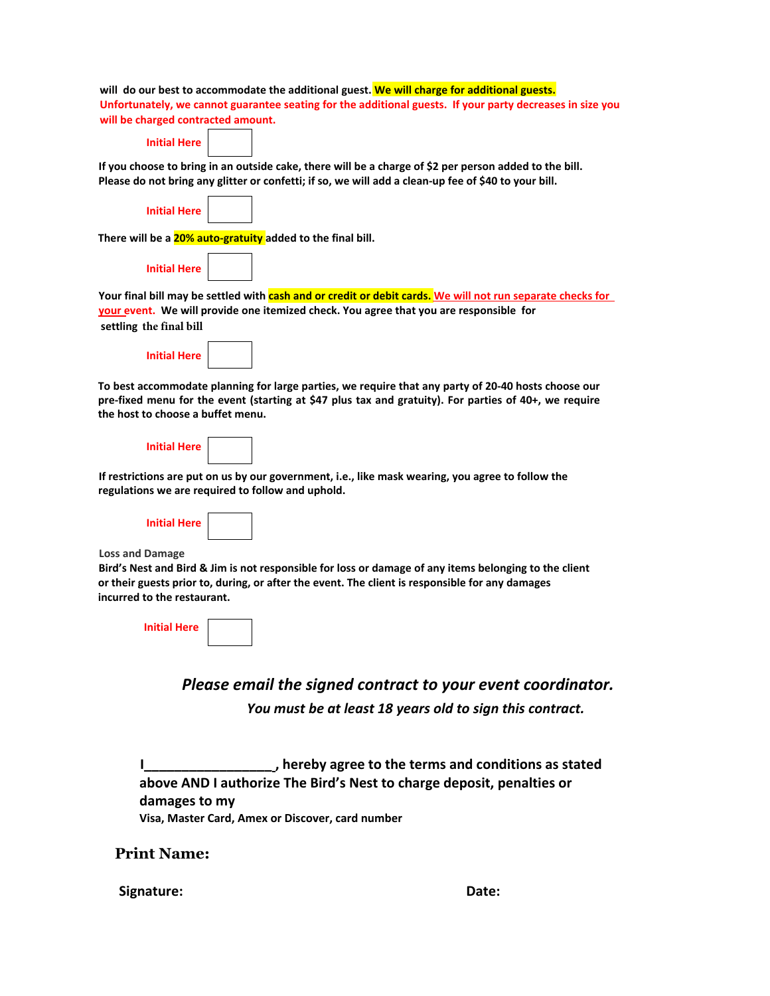| will do our best to accommodate the additional guest. We will charge for additional guests.                |
|------------------------------------------------------------------------------------------------------------|
| Unfortunately, we cannot guarantee seating for the additional guests. If your party decreases in size you  |
| will be charged contracted amount.                                                                         |
| <b>Initial Here</b>                                                                                        |
| If you choose to bring in an outside cake, there will be a charge of \$2 per person added to the bill.     |
| Please do not bring any glitter or confetti; if so, we will add a clean-up fee of \$40 to your bill.       |
|                                                                                                            |
| <b>Initial Here</b>                                                                                        |
|                                                                                                            |
| There will be a 20% auto-gratuity added to the final bill.                                                 |
| <b>Initial Here</b>                                                                                        |
|                                                                                                            |
| Your final bill may be settled with cash and or credit or debit cards. We will not run separate checks for |
| your event. We will provide one itemized check. You agree that you are responsible for                     |
| settling the final bill                                                                                    |
|                                                                                                            |
| <b>Initial Here</b>                                                                                        |
|                                                                                                            |
| To best accommodate planning for large parties, we require that any party of 20-40 hosts choose our        |
| pre-fixed menu for the event (starting at \$47 plus tax and gratuity). For parties of 40+, we require      |
| the host to choose a buffet menu.                                                                          |
|                                                                                                            |
| <b>Initial Here</b>                                                                                        |
| If restrictions are put on us by our government, i.e., like mask wearing, you agree to follow the          |
| regulations we are required to follow and uphold.                                                          |
|                                                                                                            |
| <b>Initial Here</b>                                                                                        |
|                                                                                                            |
| <b>Loss and Damage</b>                                                                                     |
| Bird's Nest and Bird & Jim is not responsible for loss or damage of any items belonging to the client      |
| or their guests prior to, during, or after the event. The client is responsible for any damages            |
| incurred to the restaurant.                                                                                |
|                                                                                                            |
| <b>Initial Here</b>                                                                                        |
|                                                                                                            |
|                                                                                                            |
|                                                                                                            |
| Please email the signed contract to your event coordinator.                                                |
| You must be at least 18 years old to sign this contract.                                                   |
|                                                                                                            |
|                                                                                                            |
|                                                                                                            |
| hereby agree to the terms and conditions as stated                                                         |
| above AND I authorize The Bird's Nest to charge deposit, penalties or                                      |

# Signature: **Date: Date: Date: Date: Date: Date: Date: Date: Date: Date: Date: Date: Date: Date: Date: Date: Date: Date: Date: Date: Date: Date: Date: Date: Date: Date: Da**

**Print Name:** 

**damages to my** 

**Visa, Master Card, Amex or Discover, card number**